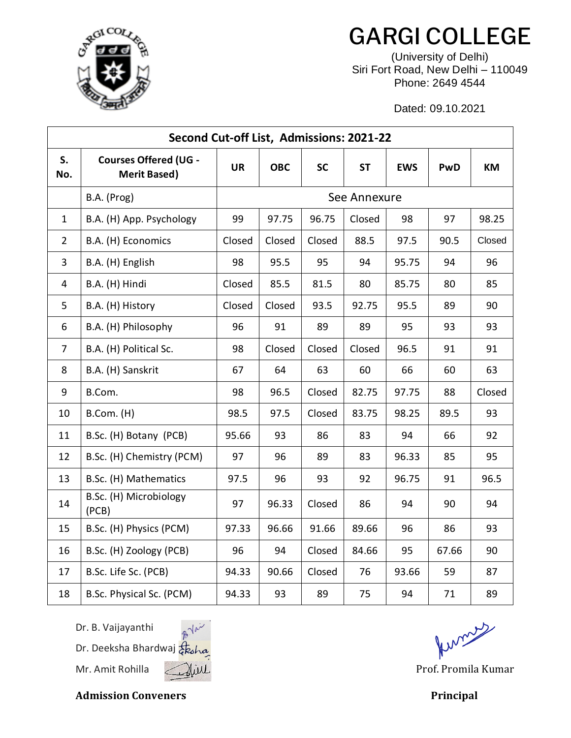

## GARGI COLLEGE

(University of Delhi) Siri Fort Road, New Delhi – 110049 Phone: 2649 4544

Dated: 09.10.2021

| Second Cut-off List, Admissions: 2021-22 |                                                     |              |            |           |           |            |       |        |  |  |  |
|------------------------------------------|-----------------------------------------------------|--------------|------------|-----------|-----------|------------|-------|--------|--|--|--|
| S.<br>No.                                | <b>Courses Offered (UG -</b><br><b>Merit Based)</b> | <b>UR</b>    | <b>OBC</b> | <b>SC</b> | <b>ST</b> | <b>EWS</b> | PwD   | KM     |  |  |  |
|                                          | B.A. (Prog)                                         | See Annexure |            |           |           |            |       |        |  |  |  |
| $\mathbf{1}$                             | B.A. (H) App. Psychology                            | 99           | 97.75      | 96.75     | Closed    | 98         | 97    | 98.25  |  |  |  |
| $\overline{2}$                           | B.A. (H) Economics                                  | Closed       | Closed     | Closed    | 88.5      | 97.5       | 90.5  | Closed |  |  |  |
| 3                                        | B.A. (H) English                                    | 98           | 95.5       | 95        | 94        | 95.75      | 94    | 96     |  |  |  |
| 4                                        | B.A. (H) Hindi                                      | Closed       | 85.5       | 81.5      | 80        | 85.75      | 80    | 85     |  |  |  |
| 5                                        | B.A. (H) History                                    | Closed       | Closed     | 93.5      | 92.75     | 95.5       | 89    | 90     |  |  |  |
| 6                                        | B.A. (H) Philosophy                                 | 96           | 91         | 89        | 89        | 95         | 93    | 93     |  |  |  |
| $\overline{7}$                           | B.A. (H) Political Sc.                              | 98           | Closed     | Closed    | Closed    | 96.5       | 91    | 91     |  |  |  |
| 8                                        | B.A. (H) Sanskrit                                   | 67           | 64         | 63        | 60        | 66         | 60    | 63     |  |  |  |
| 9                                        | B.Com.                                              | 98           | 96.5       | Closed    | 82.75     | 97.75      | 88    | Closed |  |  |  |
| 10                                       | B.Com. (H)                                          | 98.5         | 97.5       | Closed    | 83.75     | 98.25      | 89.5  | 93     |  |  |  |
| 11                                       | B.Sc. (H) Botany (PCB)                              | 95.66        | 93         | 86        | 83        | 94         | 66    | 92     |  |  |  |
| 12                                       | B.Sc. (H) Chemistry (PCM)                           | 97           | 96         | 89        | 83        | 96.33      | 85    | 95     |  |  |  |
| 13                                       | B.Sc. (H) Mathematics                               | 97.5         | 96         | 93        | 92        | 96.75      | 91    | 96.5   |  |  |  |
| 14                                       | B.Sc. (H) Microbiology<br>(PCB)                     | 97           | 96.33      | Closed    | 86        | 94         | 90    | 94     |  |  |  |
| 15                                       | B.Sc. (H) Physics (PCM)                             | 97.33        | 96.66      | 91.66     | 89.66     | 96         | 86    | 93     |  |  |  |
| 16                                       | B.Sc. (H) Zoology (PCB)                             | 96           | 94         | Closed    | 84.66     | 95         | 67.66 | 90     |  |  |  |
| 17                                       | B.Sc. Life Sc. (PCB)                                | 94.33        | 90.66      | Closed    | 76        | 93.66      | 59    | 87     |  |  |  |
| 18                                       | B.Sc. Physical Sc. (PCM)                            | 94.33        | 93         | 89        | 75        | 94         | 71    | 89     |  |  |  |

Dr. B. Vaijayanthi

Dr. Deeksha Bhardwaj Mr. Amit Rohilla ( Mill Mill Communication of the Prof. Promila Kumar



funcions

Admission Conveners **Principal**